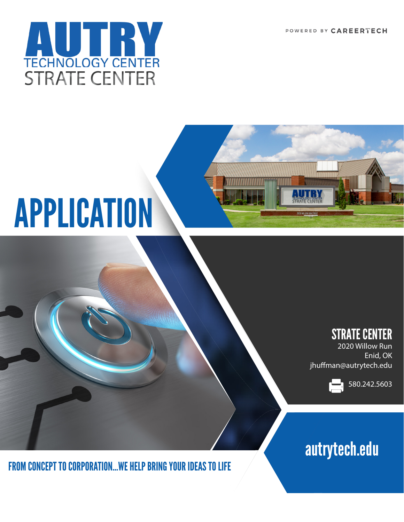POWERED BY CAREERTECH



# APPLICATION



2020 Willow Run Enid, OK jhuffman@autrytech.edu



# autrytech.edu

FROM CONCEPT TO CORPORATION…WE HELP BRING YOUR IDEAS TO LIFE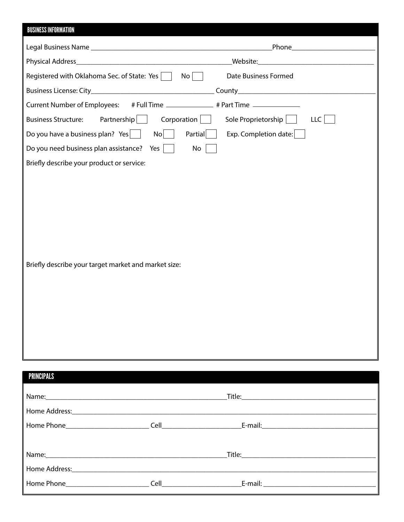# BUSINESS INFORMATION

|                                                                                | _Phone_______________________                        |
|--------------------------------------------------------------------------------|------------------------------------------------------|
|                                                                                |                                                      |
| Registered with Oklahoma Sec. of State: Yes $\vert$ $\vert$ No $\vert$ $\vert$ | Date Business Formed                                 |
|                                                                                |                                                      |
| <b>Current Number of Employees:</b>                                            | # Full Time _______________ # Part Time ____________ |
| Partnership  <br><b>Business Structure:</b><br>$Corporation$                   | Sole Proprietorship<br><b>LLC</b>                    |
| Do you have a business plan? Yes<br>Partial<br>$\mathsf{No}$                   | Exp. Completion date:                                |
| Do you need business plan assistance?<br>Yes<br>No                             |                                                      |
| Briefly describe your product or service:                                      |                                                      |
| Briefly describe your target market and market size:                           |                                                      |

| <b>PRINCIPALS</b> |  |
|-------------------|--|
|                   |  |
|                   |  |
|                   |  |
|                   |  |
|                   |  |
|                   |  |
|                   |  |
|                   |  |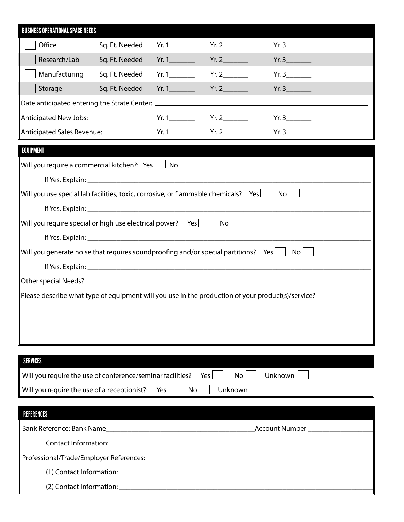| <b>BUSINESS OPERATIONAL SPACE NEEDS</b>                                                                  |                                                                      |                |       |       |       |  |
|----------------------------------------------------------------------------------------------------------|----------------------------------------------------------------------|----------------|-------|-------|-------|--|
|                                                                                                          | Office                                                               | Sq. Ft. Needed | Yr. 1 | Yr. 2 | Yr. 3 |  |
|                                                                                                          | Research/Lab                                                         | Sq. Ft. Needed |       | Yr. 2 | Yr. 3 |  |
|                                                                                                          | Manufacturing                                                        | Sq. Ft. Needed |       | Yr. 2 | Yr.3  |  |
|                                                                                                          | Storage                                                              | Sq. Ft. Needed | Yr. 1 | Yr. 2 | Yr.3  |  |
|                                                                                                          |                                                                      |                |       |       |       |  |
| <b>Anticipated New Jobs:</b>                                                                             |                                                                      |                |       | Yr.3  |       |  |
|                                                                                                          | <b>Anticipated Sales Revenue:</b>                                    |                |       |       | Yr.3  |  |
| <b>EQUIPMENT</b>                                                                                         |                                                                      |                |       |       |       |  |
|                                                                                                          | Will you require a commercial kitchen?: $Yes \bigsqcup No \bigsqcup$ |                |       |       |       |  |
|                                                                                                          |                                                                      |                |       |       |       |  |
| Will you use special lab facilities, toxic, corrosive, or flammable chemicals?<br>Yes<br>No <sub>1</sub> |                                                                      |                |       |       |       |  |
|                                                                                                          |                                                                      |                |       |       |       |  |
| Will you require special or high use electrical power? Yes    <br>$\mathsf{No}$                          |                                                                      |                |       |       |       |  |
|                                                                                                          |                                                                      |                |       |       |       |  |
| Will you generate noise that requires soundproofing and/or special partitions? Yes<br>No l               |                                                                      |                |       |       |       |  |
|                                                                                                          |                                                                      |                |       |       |       |  |
|                                                                                                          |                                                                      |                |       |       |       |  |
| Please describe what type of equipment will you use in the production of your product(s)/service?        |                                                                      |                |       |       |       |  |
|                                                                                                          |                                                                      |                |       |       |       |  |
|                                                                                                          |                                                                      |                |       |       |       |  |
|                                                                                                          |                                                                      |                |       |       |       |  |
|                                                                                                          |                                                                      |                |       |       |       |  |

| <b>SERVICES</b>                                                                                     |
|-----------------------------------------------------------------------------------------------------|
| Yes I<br>Will you require the use of conference/seminar facilities?<br>Unknown  <br>No <sub>1</sub> |
| Will you require the use of a receptionist?: Yes $\vert$<br>No I<br>Unknown                         |

| REFERENCES                              |                                    |
|-----------------------------------------|------------------------------------|
|                                         | Account Number ___________________ |
|                                         |                                    |
| Professional/Trade/Employer References: |                                    |
|                                         |                                    |
|                                         |                                    |